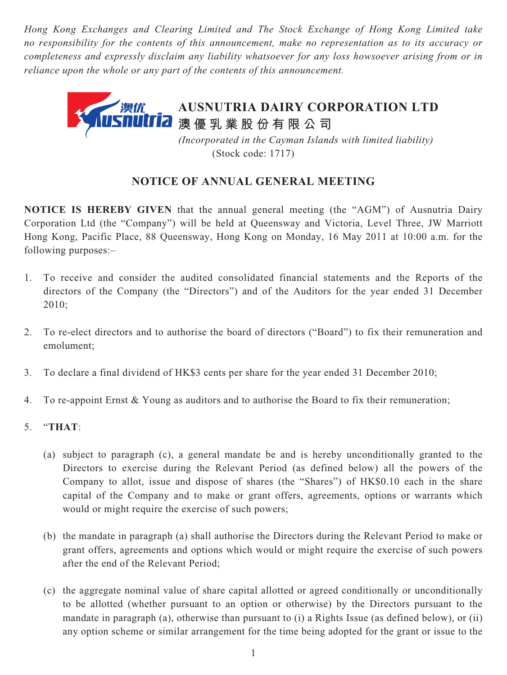*Hong Kong Exchanges and Clearing Limited and The Stock Exchange of Hong Kong Limited take no responsibility for the contents of this announcement, make no representation as to its accuracy or completeness and expressly disclaim any liability whatsoever for any loss howsoever arising from or in reliance upon the whole or any part of the contents of this announcement.*



## (Stock code: 1717)

## **NOTICE OF ANNUAL GENERAL MEETING**

**NOTICE IS HEREBY GIVEN** that the annual general meeting (the "AGM") of Ausnutria Dairy Corporation Ltd (the "Company") will be held at Queensway and Victoria, Level Three, JW Marriott Hong Kong, Pacific Place, 88 Queensway, Hong Kong on Monday, 16 May 2011 at 10:00 a.m. for the following purposes:–

- 1. To receive and consider the audited consolidated financial statements and the Reports of the directors of the Company (the "Directors") and of the Auditors for the year ended 31 December 2010;
- 2. To re-elect directors and to authorise the board of directors ("Board") to fix their remuneration and emolument;
- 3. To declare a final dividend of HK\$3 cents per share for the year ended 31 December 2010;
- 4. To re-appoint Ernst & Young as auditors and to authorise the Board to fix their remuneration;
- 5. "**THAT**:
	- (a) subject to paragraph (c), a general mandate be and is hereby unconditionally granted to the Directors to exercise during the Relevant Period (as defined below) all the powers of the Company to allot, issue and dispose of shares (the "Shares") of HK\$0.10 each in the share capital of the Company and to make or grant offers, agreements, options or warrants which would or might require the exercise of such powers;
	- (b) the mandate in paragraph (a) shall authorise the Directors during the Relevant Period to make or grant offers, agreements and options which would or might require the exercise of such powers after the end of the Relevant Period;
	- (c) the aggregate nominal value of share capital allotted or agreed conditionally or unconditionally to be allotted (whether pursuant to an option or otherwise) by the Directors pursuant to the mandate in paragraph (a), otherwise than pursuant to (i) a Rights Issue (as defined below), or (ii) any option scheme or similar arrangement for the time being adopted for the grant or issue to the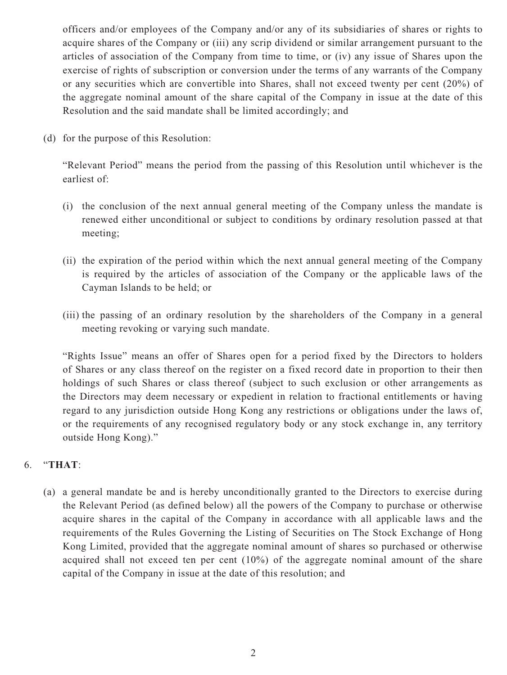officers and/or employees of the Company and/or any of its subsidiaries of shares or rights to acquire shares of the Company or (iii) any scrip dividend or similar arrangement pursuant to the articles of association of the Company from time to time, or (iv) any issue of Shares upon the exercise of rights of subscription or conversion under the terms of any warrants of the Company or any securities which are convertible into Shares, shall not exceed twenty per cent (20%) of the aggregate nominal amount of the share capital of the Company in issue at the date of this Resolution and the said mandate shall be limited accordingly; and

(d) for the purpose of this Resolution:

"Relevant Period" means the period from the passing of this Resolution until whichever is the earliest of:

- (i) the conclusion of the next annual general meeting of the Company unless the mandate is renewed either unconditional or subject to conditions by ordinary resolution passed at that meeting;
- (ii) the expiration of the period within which the next annual general meeting of the Company is required by the articles of association of the Company or the applicable laws of the Cayman Islands to be held; or
- (iii) the passing of an ordinary resolution by the shareholders of the Company in a general meeting revoking or varying such mandate.

"Rights Issue" means an offer of Shares open for a period fixed by the Directors to holders of Shares or any class thereof on the register on a fixed record date in proportion to their then holdings of such Shares or class thereof (subject to such exclusion or other arrangements as the Directors may deem necessary or expedient in relation to fractional entitlements or having regard to any jurisdiction outside Hong Kong any restrictions or obligations under the laws of, or the requirements of any recognised regulatory body or any stock exchange in, any territory outside Hong Kong)."

## 6. "**THAT**:

(a) a general mandate be and is hereby unconditionally granted to the Directors to exercise during the Relevant Period (as defined below) all the powers of the Company to purchase or otherwise acquire shares in the capital of the Company in accordance with all applicable laws and the requirements of the Rules Governing the Listing of Securities on The Stock Exchange of Hong Kong Limited, provided that the aggregate nominal amount of shares so purchased or otherwise acquired shall not exceed ten per cent (10%) of the aggregate nominal amount of the share capital of the Company in issue at the date of this resolution; and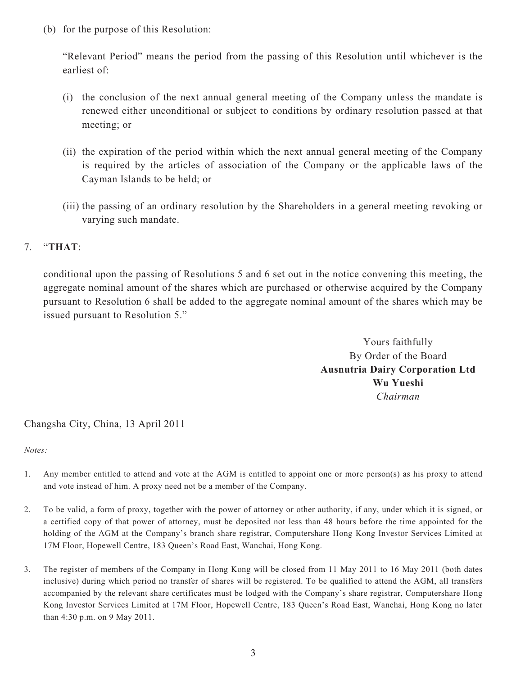(b) for the purpose of this Resolution:

"Relevant Period" means the period from the passing of this Resolution until whichever is the earliest of:

- (i) the conclusion of the next annual general meeting of the Company unless the mandate is renewed either unconditional or subject to conditions by ordinary resolution passed at that meeting; or
- (ii) the expiration of the period within which the next annual general meeting of the Company is required by the articles of association of the Company or the applicable laws of the Cayman Islands to be held; or
- (iii) the passing of an ordinary resolution by the Shareholders in a general meeting revoking or varying such mandate.

## 7. "**THAT**:

conditional upon the passing of Resolutions 5 and 6 set out in the notice convening this meeting, the aggregate nominal amount of the shares which are purchased or otherwise acquired by the Company pursuant to Resolution 6 shall be added to the aggregate nominal amount of the shares which may be issued pursuant to Resolution 5."

> Yours faithfully By Order of the Board **Ausnutria Dairy Corporation Ltd Wu Yueshi** *Chairman*

Changsha City, China, 13 April 2011

*Notes:* 

- 1. Any member entitled to attend and vote at the AGM is entitled to appoint one or more person(s) as his proxy to attend and vote instead of him. A proxy need not be a member of the Company.
- 2. To be valid, a form of proxy, together with the power of attorney or other authority, if any, under which it is signed, or a certified copy of that power of attorney, must be deposited not less than 48 hours before the time appointed for the holding of the AGM at the Company's branch share registrar, Computershare Hong Kong Investor Services Limited at 17M Floor, Hopewell Centre, 183 Queen's Road East, Wanchai, Hong Kong.
- 3. The register of members of the Company in Hong Kong will be closed from 11 May 2011 to 16 May 2011 (both dates inclusive) during which period no transfer of shares will be registered. To be qualified to attend the AGM, all transfers accompanied by the relevant share certificates must be lodged with the Company's share registrar, Computershare Hong Kong Investor Services Limited at 17M Floor, Hopewell Centre, 183 Queen's Road East, Wanchai, Hong Kong no later than 4:30 p.m. on 9 May 2011.